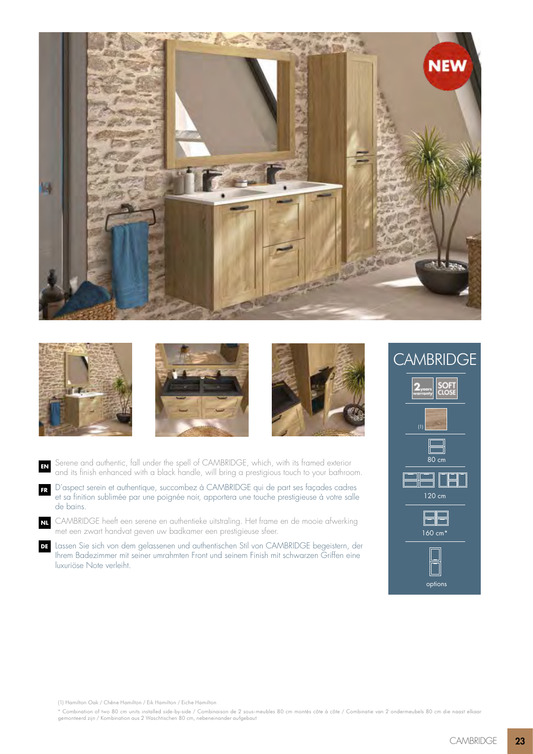







Serene and authentic, fall under the spell of CAMBRIDGE, which, with its framed exterior and its finish enhanced with a black handle, will bring a prestigious touch to your bathroom. **EN**

D'aspect serein et authentique, succombez à CAMBRIDGE qui de part ses façades cadres et sa finition sublimée par une poignée noir, apportera une touche prestigieuse à votre salle de bains. **FR**

CAMBRIDGE heeft een serene en authentieke uitstraling. Het frame en de mooie afwerking **NL** met een zwart handvat geven uw badkamer een prestigieuse sfeer.

Lassen Sie sich von dem gelassenen und authentischen Stil von CAMBRIDGE begeistern, der **DE** Ihrem Badezimmer mit seiner umrahmten Front und seinem Finish mit schwarzen Griffen eine luxuriöse Note verleiht.

**CAMBRIDGE** (1) 80 cm 120 cm  $\boxminus$ 160 cm\* options

(1) Hamilton Oak / Chêne Hamilton / Eik Hamilton / Eiche Hamilton

\* Combination of two 80 cm units installed side-by-side / Combinaison de 2 sous-meubles 80 cm montés côte à côte / Combinatie van 2 ondermeubels 80 cm die naast elkaar gemonteerd zijn / Kombination aus 2 Waschtischen 80 cm, nebeneinander aufgebaut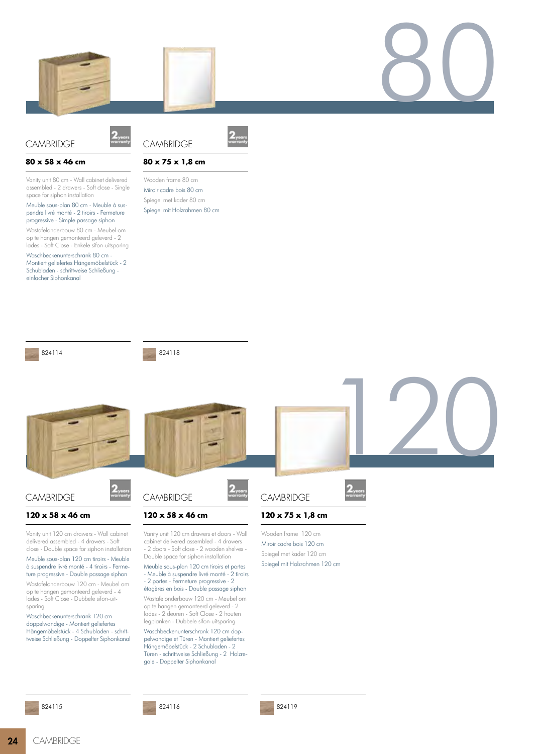



## **CAMBRIDGE**





## **80 x 58 x 46 cm**

Vanity unit 80 cm - Wall cabinet delivered assembled - 2 drawers - Soft close - Single space for siphon installation

Meuble sous-plan 80 cm - Meuble à suspendre livré monté - 2 tiroirs - Fermeture progressive - Simple passage siphon

Wastafelonderbouw 80 cm - Meubel om op te hangen gemonteerd geleverd - 2 lades - Soft Close - Enkele sifon-uitsparing

Waschbeckenunterschrank 80 cm - Montiert geliefertes Hängemöbelstück - 2 Schubladen - schrittweise Schließung einfacher Siphonkanal





Wooden frame 80 cm Miroir cadre bois 80 cm Spiegel met kader 80 cm Spiegel mit Holzrahmen 80 cm



824118



Wastafelonderbouw 120 cm - Meubel om op te hangen gemonteerd geleverd - 4 lades - Soft Close - Dubbele sifon-uitsparing

Waschbeckenunterschrank 120 cm doppelwandige - Montiert geliefertes Hängemöbelstück - 4 Schubladen - schrittweise Schließung - Doppelter Siphonkanal



824116

étagères en bois - Double passage siphon Wastafelonderbouw 120 cm - Meubel om op te hangen gemonteerd geleverd - 2 lades - 2 deuren - Soft Close - 2 houten legplanken - Dubbele sifon-uitsparing Waschbeckenunterschrank 120 cm doppelwandige et Türen - Montiert geliefertes Hängemöbelstück - 2 Schubladen - 2 Türen - schrittweise Schließung - 2 Holzregale - Doppelter Siphonkanal

824119